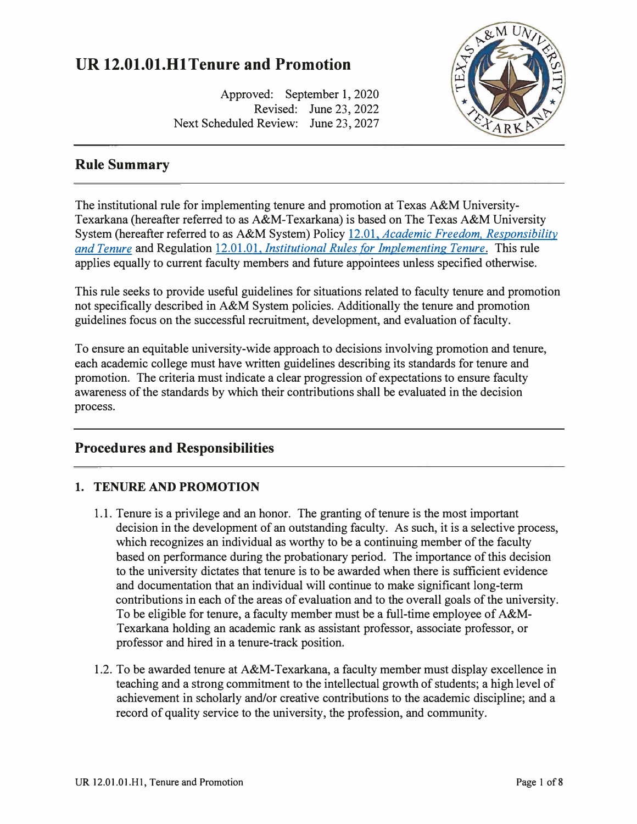# **UR 12.01.01.Hl Tenure and Promotion**

Approved: September 1, 2020 Revised: June 23, 2022 Next Scheduled Review: June 23, 2027

# **Rule Summary**

The institutional rule for implementing tenure and promotion at Texas A&M University-Texarkana (hereafter referred to as A&M-Texarkana) is based on The Texas A&M University System (hereafter referred to as A&M System) Policy 12.01, *[Academic Freedom. Responsibility](http://policies.tamus.edu/12-01.pdf)  [and Tenure](http://policies.tamus.edu/12-01.pdf)* and Regulation 12.01.01, *[Institutional Rules for Implementing Tenure.](http://policies.tamus.edu/12-01-01.pdf)* This rule applies equally to current faculty members and future appointees unless specified otherwise.

This rule seeks to provide useful guidelines for situations related to faculty tenure and promotion not specifically described in A&M System policies. Additionally the tenure and promotion guidelines focus on the successful recruitment, development, and evaluation of faculty.

To ensure an equitable university-wide approach to decisions involving promotion and tenure, each academic college must have written guidelines describing its standards for tenure and promotion. The criteria must indicate a clear progression of expectations to ensure faculty awareness of the standards by which their contributions shall be evaluated in the decision process.

## **Procedures and Responsibilities**

#### **1. TENURE AND PROMOTION**

- 1.1. Tenure is a privilege and an honor. The granting of tenure is the most important decision in the development of an outstanding faculty. As such, it is a selective process, which recognizes an individual as worthy to be a continuing member of the faculty based on performance during the probationary period. The importance of this decision to the university dictates that tenure is to be awarded when there is sufficient evidence and documentation that an individual will continue to make significant long-term contributions in each of the areas of evaluation and to the overall goals of the university. To be eligible for tenure, a faculty member must be a full-time employee of A&M-Texarkana holding an academic rank as assistant professor, associate professor, or professor and hired in a tenure-track position.
- 1.2. To be awarded tenure at A&M-Texarkana, a faculty member must display excellence in teaching and a strong commitment to the intellectual growth of students; a high level of achievement in scholarly and/or creative contributions to the academic discipline; and a record of quality service to the university, the profession, and community.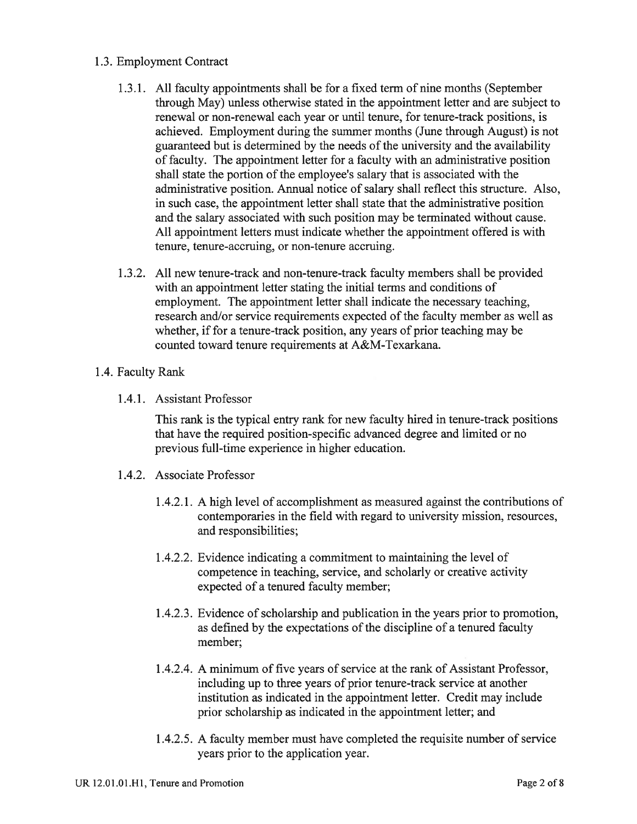#### 1.3. Employment Contract

- 1.3.1. All faculty appointments shall be for a fixed term of nine months (September through May) unless otherwise stated in the appointment letter and are subject to renewal or non-renewal each year or until tenure, for tenure-track positions, is achieved. Employment during the summer months (June through August) is not guaranteed but is determined by the needs of the university and the availability of faculty. The appointment letter for a faculty with an administrative position shall state the portion of the employee's salary that is associated with the administrative position. Annual notice of salary shall reflect this structure. Also, in such case, the appointment letter shall state that the administrative position and the salary associated with such position may be terminated without cause. All appointment letters must indicate whether the appointment offered is with tenure, tenure-accruing, or non-tenure accruing.
- 1.3.2. All new tenure-track and non-tenure-track faculty members shall be provided with an appointment letter stating the initial terms and conditions of employment. The appointment letter shall indicate the necessary teaching. research and/or service requirements expected of the faculty member as well as whether, if for a tenure-track position, any years of prior teaching may be counted toward tenure requirements at A&M-Texarkana.

#### 1.4. Faculty Rank

1.4.1. Assistant Professor

This rank is the typical entry rank for new faculty hired in tenure-track positions that have the required position-specific advanced degree and limited or no previous full-time experience in higher education.

- 1.4.2. Associate Professor
	- 1.4.2.1. A high level of accomplishment as measured against the contributions of contemporaries in the field with regard to university mission, resources, and responsibilities;
	- 1.4.2.2. Evidence indicating a commitment to maintaining the level of competence in teaching, service, and scholarly or creative activity expected of a tenured faculty member;
	- 1.4.2.3. Evidence of scholarship and publication in the years prior to promotion, as defined by the expectations of the discipline of a tenured faculty member:
	- 1.4.2.4. A minimum of five years of service at the rank of Assistant Professor, including up to three years of prior tenure-track service at another institution as indicated in the appointment letter. Credit may include prior scholarship as indicated in the appointment letter; and
	- 1.4.2.5. A faculty member must have completed the requisite number of service years prior to the application year.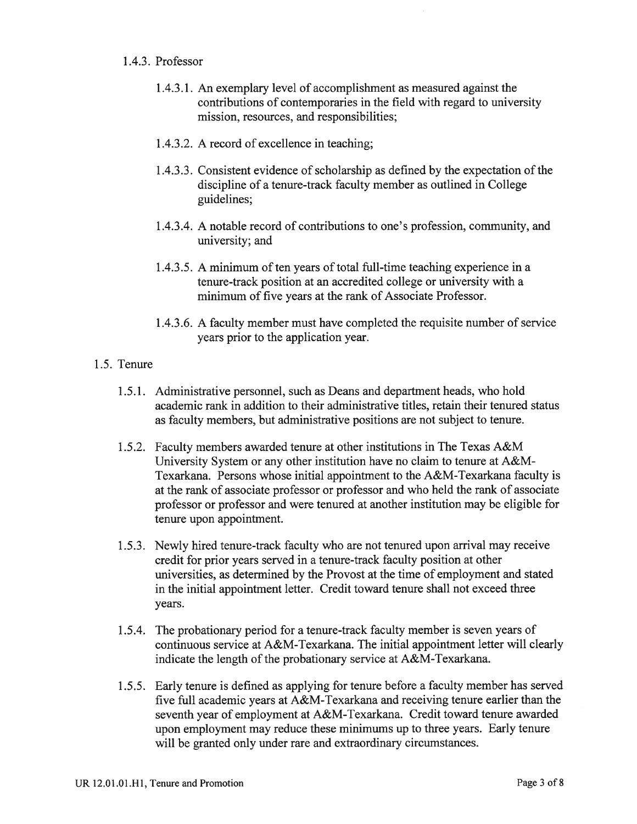#### 1.4.3. Professor

- 1.4.3.1. An exemplary level of accomplishment as measured against the contributions of contemporaries in the field with regard to university mission, resources, and responsibilities;
- 1.4.3.2. A record of excellence in teaching;
- 1.4.3.3. Consistent evidence of scholarship as defined by the expectation of the discipline of a tenure-track faculty member as outlined in College guidelines:
- 1.4.3.4. A notable record of contributions to one's profession, community, and university; and
- 1.4.3.5. A minimum of ten years of total full-time teaching experience in a tenure-track position at an accredited college or university with a minimum of five years at the rank of Associate Professor.
- 1.4.3.6. A faculty member must have completed the requisite number of service years prior to the application year.

#### 1.5. Tenure

- 1.5.1. Administrative personnel, such as Deans and department heads, who hold academic rank in addition to their administrative titles, retain their tenured status as faculty members, but administrative positions are not subject to tenure.
- 1.5.2. Faculty members awarded tenure at other institutions in The Texas A&M University System or any other institution have no claim to tenure at A&M-Texarkana. Persons whose initial appointment to the A&M-Texarkana faculty is at the rank of associate professor or professor and who held the rank of associate professor or professor and were tenured at another institution may be eligible for tenure upon appointment.
- 1.5.3. Newly hired tenure-track faculty who are not tenured upon arrival may receive credit for prior years served in a tenure-track faculty position at other universities, as determined by the Provost at the time of employment and stated in the initial appointment letter. Credit toward tenure shall not exceed three vears.
- 1.5.4. The probationary period for a tenure-track faculty member is seven years of continuous service at A&M-Texarkana. The initial appointment letter will clearly indicate the length of the probationary service at A&M-Texarkana.
- 1.5.5. Early tenure is defined as applying for tenure before a faculty member has served five full academic vears at A&M-Texarkana and receiving tenure earlier than the seventh year of employment at A&M-Texarkana. Credit toward tenure awarded upon employment may reduce these minimums up to three years. Early tenure will be granted only under rare and extraordinary circumstances.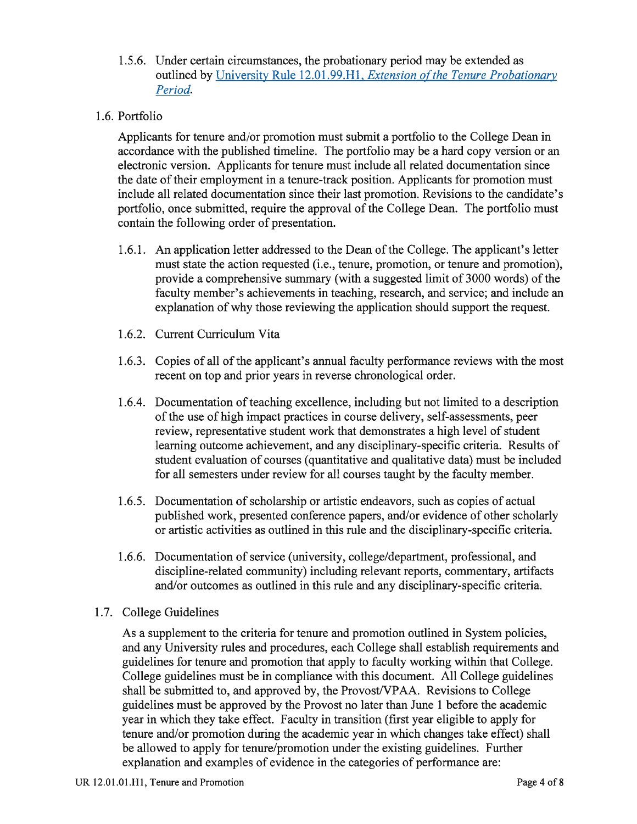- 1.5.6. Under certain circumstances, the probationary period may be extended as outlined by University Rule 12.01.99.H1, Extension of the Tenure Probationary Period.
- 1.6. Portfolio

Applicants for tenure and/or promotion must submit a portfolio to the College Dean in accordance with the published timeline. The portfolio may be a hard copy version or an electronic version. Applicants for tenure must include all related documentation since the date of their employment in a tenure-track position. Applicants for promotion must include all related documentation since their last promotion. Revisions to the candidate's portfolio, once submitted, require the approval of the College Dean. The portfolio must contain the following order of presentation.

- 1.6.1. An application letter addressed to the Dean of the College. The applicant's letter must state the action requested (i.e., tenure, promotion, or tenure and promotion). provide a comprehensive summary (with a suggested limit of 3000 words) of the faculty member's achievements in teaching, research, and service; and include an explanation of why those reviewing the application should support the request.
- 1.6.2. Current Curriculum Vita
- 1.6.3. Copies of all of the applicant's annual faculty performance reviews with the most recent on top and prior years in reverse chronological order.
- 1.6.4. Documentation of teaching excellence, including but not limited to a description of the use of high impact practices in course delivery, self-assessments, peer review, representative student work that demonstrates a high level of student learning outcome achievement, and any disciplinary-specific criteria. Results of student evaluation of courses (quantitative and qualitative data) must be included for all semesters under review for all courses taught by the faculty member.
- 1.6.5. Documentation of scholarship or artistic endeavors, such as copies of actual published work, presented conference papers, and/or evidence of other scholarly or artistic activities as outlined in this rule and the disciplinary-specific criteria.
- 1.6.6. Documentation of service (university, college/department, professional, and discipline-related community) including relevant reports, commentary, artifacts and/or outcomes as outlined in this rule and any disciplinary-specific criteria.
- 1.7. College Guidelines

As a supplement to the criteria for tenure and promotion outlined in System policies, and any University rules and procedures, each College shall establish requirements and guidelines for tenure and promotion that apply to faculty working within that College. College guidelines must be in compliance with this document. All College guidelines shall be submitted to, and approved by, the Provost/VPAA. Revisions to College guidelines must be approved by the Provost no later than June 1 before the academic year in which they take effect. Faculty in transition (first year eligible to apply for tenure and/or promotion during the academic year in which changes take effect) shall be allowed to apply for tenure/promotion under the existing guidelines. Further explanation and examples of evidence in the categories of performance are: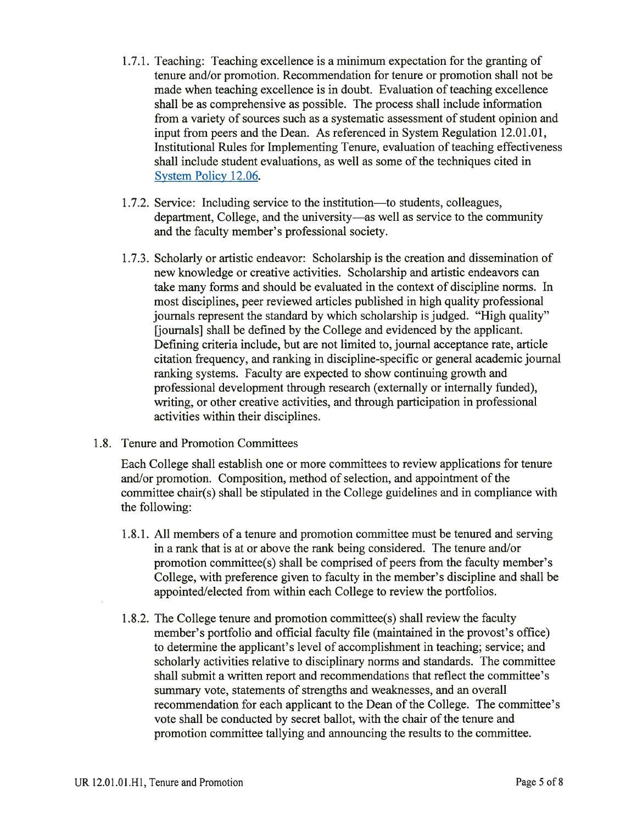- 1.7.1. Teaching: Teaching excellence is a minimum expectation for the granting of tenure and/or promotion. Recommendation for tenure or promotion shall not be made when teaching excellence is in doubt. Evaluation of teaching excellence shall be as comprehensive as possible. The process shall include information from a variety of sources such as a systematic assessment of student opinion and input from peers and the Dean. As referenced in System Regulation 12.01.01, Institutional Rules for Implementing Tenure, evaluation of teaching effectiveness shall include student evaluations, as well as some of the techniques cited in System Policy 12.06.
- 1.7.2. Service: Including service to the institution—to students, colleagues, department, College, and the university—as well as service to the community and the faculty member's professional society.
- 1.7.3. Scholarly or artistic endeavor: Scholarship is the creation and dissemination of new knowledge or creative activities. Scholarship and artistic endeavors can take many forms and should be evaluated in the context of discipline norms. In most disciplines, peer reviewed articles published in high quality professional journals represent the standard by which scholarship is judged. "High quality" [journals] shall be defined by the College and evidenced by the applicant. Defining criteria include, but are not limited to, journal acceptance rate, article citation frequency, and ranking in discipline-specific or general academic journal ranking systems. Faculty are expected to show continuing growth and professional development through research (externally or internally funded), writing, or other creative activities, and through participation in professional activities within their disciplines.
- 1.8. Tenure and Promotion Committees

Each College shall establish one or more committees to review applications for tenure and/or promotion. Composition, method of selection, and appointment of the committee chair(s) shall be stipulated in the College guidelines and in compliance with the following:

- 1.8.1. All members of a tenure and promotion committee must be tenured and serving in a rank that is at or above the rank being considered. The tenure and/or promotion committee(s) shall be comprised of peers from the faculty member's College, with preference given to faculty in the member's discipline and shall be appointed/elected from within each College to review the portfolios.
- 1.8.2. The College tenure and promotion committee(s) shall review the faculty member's portfolio and official faculty file (maintained in the provost's office) to determine the applicant's level of accomplishment in teaching; service; and scholarly activities relative to disciplinary norms and standards. The committee shall submit a written report and recommendations that reflect the committee's summary vote, statements of strengths and weaknesses, and an overall recommendation for each applicant to the Dean of the College. The committee's vote shall be conducted by secret ballot, with the chair of the tenure and promotion committee tallying and announcing the results to the committee.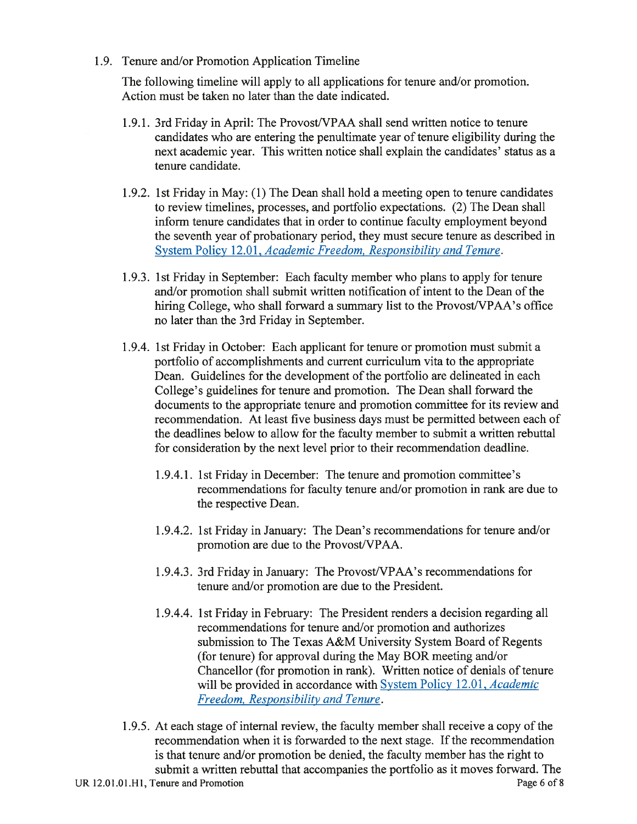1.9. Tenure and/or Promotion Application Timeline

The following timeline will apply to all applications for tenure and/or promotion. Action must be taken no later than the date indicated.

- 1.9.1. 3rd Friday in April: The Provost/VPAA shall send written notice to tenure candidates who are entering the penultimate year of tenure eligibility during the next academic year. This written notice shall explain the candidates' status as a tenure candidate.
- 1.9.2. 1st Friday in May: (1) The Dean shall hold a meeting open to tenure candidates to review timelines, processes, and portfolio expectations. (2) The Dean shall inform tenure candidates that in order to continue faculty employment beyond the seventh year of probationary period, they must secure tenure as described in System Policy 12.01, Academic Freedom, Responsibility and Tenure.
- 1.9.3. 1st Friday in September: Each faculty member who plans to apply for tenure and/or promotion shall submit written notification of intent to the Dean of the hiring College, who shall forward a summary list to the Provost/VPAA's office no later than the 3rd Friday in September.
- 1.9.4. 1st Friday in October: Each applicant for tenure or promotion must submit a portfolio of accomplishments and current curriculum vita to the appropriate Dean. Guidelines for the development of the portfolio are delineated in each College's guidelines for tenure and promotion. The Dean shall forward the documents to the appropriate tenure and promotion committee for its review and recommendation. At least five business days must be permitted between each of the deadlines below to allow for the faculty member to submit a written rebuttal for consideration by the next level prior to their recommendation deadline.
	- 1.9.4.1. 1st Friday in December: The tenure and promotion committee's recommendations for faculty tenure and/or promotion in rank are due to the respective Dean.
	- 1.9.4.2. 1st Friday in January: The Dean's recommendations for tenure and/or promotion are due to the Provost/VPAA.
	- 1.9.4.3. 3rd Friday in January: The Provost/VPAA's recommendations for tenure and/or promotion are due to the President.
	- 1.9.4.4. 1st Friday in February: The President renders a decision regarding all recommendations for tenure and/or promotion and authorizes submission to The Texas A&M University System Board of Regents (for tenure) for approval during the May BOR meeting and/or Chancellor (for promotion in rank). Written notice of denials of tenure will be provided in accordance with System Policy 12.01, Academic Freedom, Responsibility and Tenure.
- 1.9.5. At each stage of internal review, the faculty member shall receive a copy of the recommendation when it is forwarded to the next stage. If the recommendation is that tenure and/or promotion be denied, the faculty member has the right to submit a written rebuttal that accompanies the portfolio as it moves forward. The Page 6 of 8 UR 12.01.01.H1, Tenure and Promotion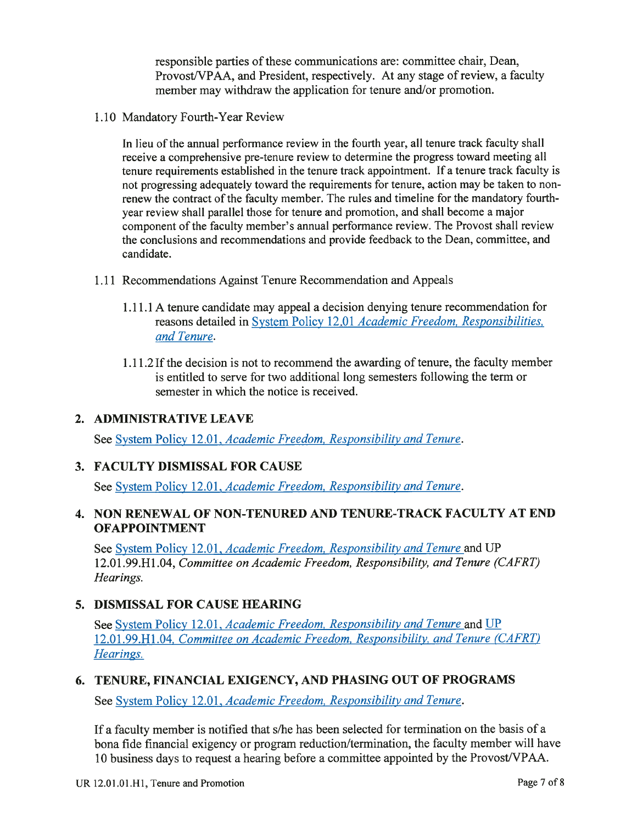responsible parties of these communications are: committee chair, Dean, Provost/VPAA, and President, respectively. At any stage of review, a faculty member may withdraw the application for tenure and/or promotion.

1.10 Mandatory Fourth-Year Review

In lieu of the annual performance review in the fourth year, all tenure track faculty shall receive a comprehensive pre-tenure review to determine the progress toward meeting all tenure requirements established in the tenure track appointment. If a tenure track faculty is not progressing adequately toward the requirements for tenure, action may be taken to nonrenew the contract of the faculty member. The rules and timeline for the mandatory fourthyear review shall parallel those for tenure and promotion, and shall become a major component of the faculty member's annual performance review. The Provost shall review the conclusions and recommendations and provide feedback to the Dean, committee, and candidate.

- 1.11 Recommendations Against Tenure Recommendation and Appeals
	- 1.11.1 A tenure candidate may appeal a decision denying tenure recommendation for reasons detailed in System Policy 12.01 Academic Freedom, Responsibilities, and Tenure.
	- 1.11.2 If the decision is not to recommend the awarding of tenure, the faculty member is entitled to serve for two additional long semesters following the term or semester in which the notice is received.

### 2. ADMINISTRATIVE LEAVE

See System Policy 12.01, Academic Freedom, Responsibility and Tenure.

### 3. FACULTY DISMISSAL FOR CAUSE

See System Policy 12.01, Academic Freedom, Responsibility and Tenure.

#### 4. NON RENEWAL OF NON-TENURED AND TENURE-TRACK FACULTY AT END **OFAPPOINTMENT**

See System Policy 12.01, Academic Freedom, Responsibility and Tenure and UP 12.01.99.H1.04, Committee on Academic Freedom, Responsibility, and Tenure (CAFRT) Hearings.

### 5. DISMISSAL FOR CAUSE HEARING

See System Policy 12.01, Academic Freedom, Responsibility and Tenure and UP 12.01.99.H1.04, Committee on Academic Freedom, Responsibility, and Tenure (CAFRT) Hearings.

### 6. TENURE, FINANCIAL EXIGENCY, AND PHASING OUT OF PROGRAMS

See System Policy 12.01, Academic Freedom, Responsibility and Tenure.

If a faculty member is notified that s/he has been selected for termination on the basis of a bona fide financial exigency or program reduction/termination, the faculty member will have 10 business days to request a hearing before a committee appointed by the Provost/VPAA.